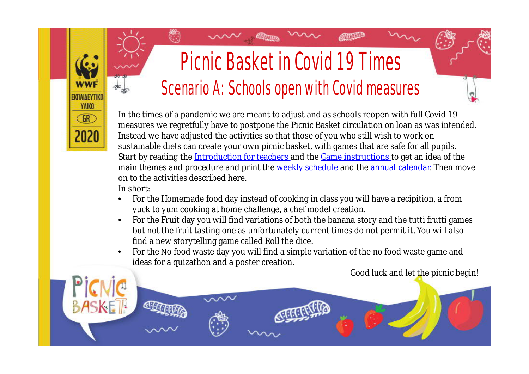## Picnic Basket in Covid 19 Times Scenario A: Schools open with Covid measures

**ATHLEP** 

In the times of a pandemic we are meant to adjust and as schools reopen with full Covid 19 measures we regretfully have to postpone the Picnic Basket circulation on loan as was intended. Instead we have adjusted the activities so that those of you who still wish to work on sustainable diets can create your own picnic basket, with games that are safe for all pupils. Start by reading the [Introduction for teachers](https://wwfeu.awsassets.panda.org/downloads/2020_edu_greece_food_educationpack_picnicbasketintroductionforteachers_english.pdf) and the [Game instructions](https://wwfeu.awsassets.panda.org/downloads/2020_edu_greece_food_educationpack_picnicbasketgameinstructions_english.pdf) to get an idea of the main themes and procedure and print the [weekly schedule](https://wwfeu.awsassets.panda.org/downloads/2020_edu_greece_food_educationpack_picnicbasketweeklyschedule_english.pdf) and the [annual calendar.](https://wwfeu.awsassets.panda.org/downloads/2020_edu_greece_food_picnicbasketeducationmaterial_annualcalendar_english.pdf) Then move on to the activities described here.

In short:

**EKRAIAEYTIK YAIKO GR** 

- For the Homemade food day instead of cooking in class you will have a recipition, a from yuck to yum cooking at home challenge, a chef model creation.
- For the Fruit day you will find variations of both the banana story and the tutti frutti games but not the fruit tasting one as unfortunately current times do not permit it. You will also find a new storytelling game called Roll the dice.
- For the Νo food waste day you will find a simple variation of the no food waste game and ideas for a quizathon and a poster creation.

Good luck and let the picnic begin!

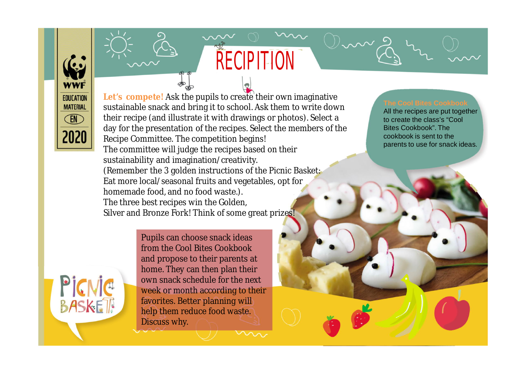**Let's compete!** Ask the pupils to create their own imaginative sustainable snack and bring it to school. Ask them to write down their recipe (and illustrate it with drawings or photos). Select a day for the presentation of the recipes. Select the members of the Recipe Committee. The competition begins! The committee will judge the recipes based on their sustainability and imagination/creativity. (Remember the 3 golden instructions of the Picnic Basket: Eat more local/seasonal fruits and vegetables, opt for homemade food, and no food waste.). The three best recipes win the Golden,

**RECIPITION** 

Silver and Bronze Fork! Think of some great prizes!

Pupils can choose snack ideas from the Cool Bites Cookbook and propose to their parents at home. They can then plan their own snack schedule for the next week or month according to their favorites. Better planning will help them reduce food waste. Discuss why.



All the recipes are put together to create the class's "Cool Bites Cookbook". The cookbook is sent to the parents to use for snack ideas.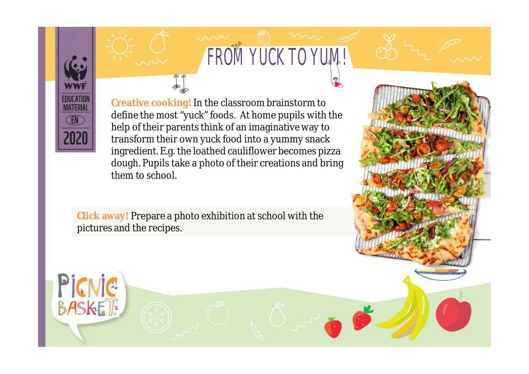

PICNIC

# FROM YUCK TO YUM!

<u> 2009 1911 1911 1911 191</u>

**Creative cooking!** In the classroom brainstorm to define the most "yuck" foods. At home pupils with the help of their parents think of an imaginative way to transform their own yuck food into a yummy snack ingredient. E.g. the loathed cauliflower becomes pizza dough. Pupils take a photo of their creations and bring them to school.

**Click away!** Prepare a photo exhibition at school with the pictures and the recipes.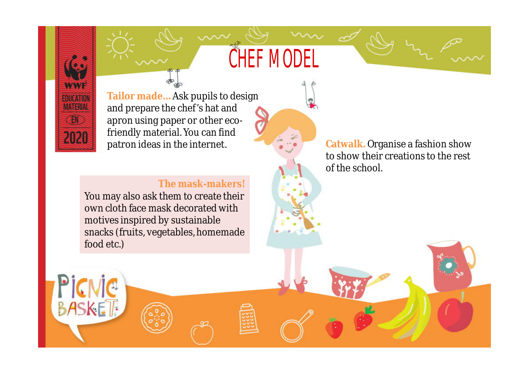## CHEF MODEL

**WWW FOUCATION MATERIA TEN** 2020

**BASKET** 

**Tailor made…** Ask pupils to design and prepare the chef's hat and apron using paper or other ecofriendly material. You can find patron ideas in the internet.

#### **The mask-makers!**

You may also ask them to create their own cloth face mask decorated with motives inspired by sustainable snacks (fruits, vegetables, homemade food etc.)

**Catwalk.** Organise a fashion show to show their creations to the rest of the school.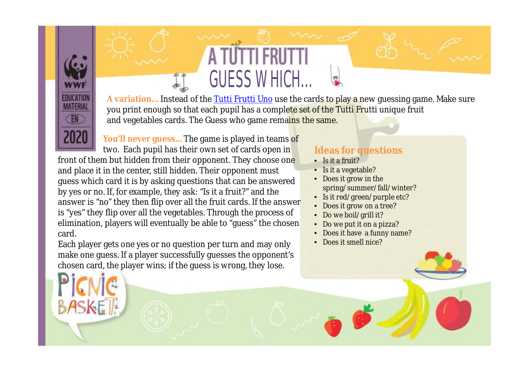**A variation…** Instead of the [Tutti Frutti Uno](https://wwfeu.awsassets.panda.org/downloads/2020_edu_greece_food_educationpack_picnicbaskettuttifruttigame_english_pdf.pdf) use the cards to play a new guessing game. Make sure you print enough so that each pupil has a complete set of the Tutti Frutti unique fruit and vegetables cards. The Guess who game remains the same.

GUESS WHICH…

**You'll never guess…** The game is played in teams of two. Each pupil has their own set of cards open in front of them but hidden from their opponent. They choose one and place it in the center, still hidden. Their opponent must guess which card it is by asking questions that can be answered by yes or no. If, for example, they ask: "Is it a fruit?" and the answer is "no" they then flip over all the fruit cards. If the answer is "yes" they flip over all the vegetables. Through the process of elimination, players will eventually be able to "guess" the chosen card.

EDITOR EN **MATERIAL FN** 

Each player gets one yes or no question per turn and may only make one guess. If a player successfully guesses the opponent's chosen card, the player wins; if the guess is wrong, they lose.

#### **Ideas for questions**

- Is it a fruit?
- Is it a vegetable?
- Does it grow in the spring/summer/fall/winter?
- Is it red/green/purple etc?
- Does it grow on a tree?
- Do we boil/grill it?
- Do we put it on a pizza?
- Does it have a funny name?
- Does it smell nice?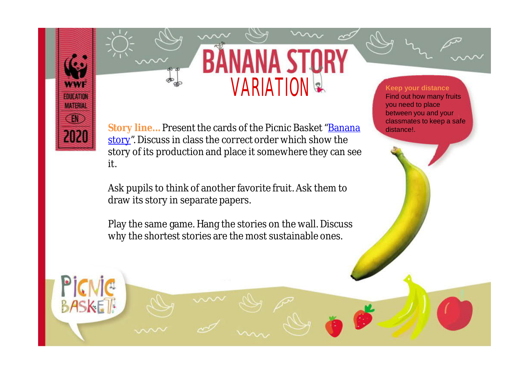

Picnic

**BASKET** 

**Story line…** Present the cards of the Picnic Basket ["Banana](https://wwfeu.awsassets.panda.org/downloads/2020_edu_greece_food_educationpack_picnicbasketbananastory_english.pdf) [story"](https://www.wwf.gr/images/pdfs/pe/PBeng/2020_EDU_Greece_Food_EducationPack_PicnicBasketbananastory_English.pdf?fbclid=IwAR0ErpXgITFoeCC9sWyhViCzAmi-AYk7BW3mMkz7I2-_LhtS9G5P5BCLqtk). Discuss in class the correct order which show the story of its production and place it somewhere they can see it.

VARIATION

Ask pupils to think of another favorite fruit. Ask them to draw its story in separate papers.

Play the same game. Hang the stories on the wall. Discuss why the shortest stories are the most sustainable ones.

#### **Keep your distance** Find out how many fruits you need to place between you and your classmates to keep a safe distance!.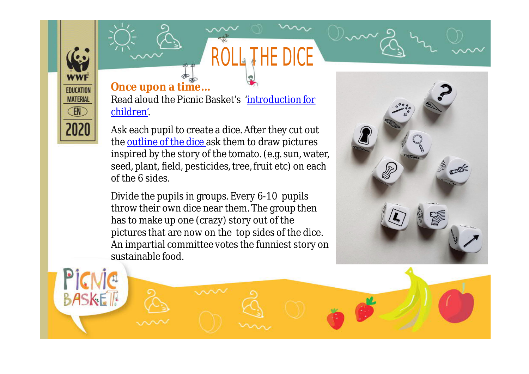### **Once upon a time…**

**EDUCATION MATERIAL** EN

2021

**BASKET** 

Read aloud the Picnic Basket's ['introduction for](https://wwfeu.awsassets.panda.org/downloads/2020_edu_greece_food_educationpack_picnicbasketintroductionforchildren_english.pdf) [children](https://www.wwf.gr/images/pdfs/pe/PBeng/2020_EDU_Greece_Food_EducationPack_PicnicBasketintroductionforchildren_English.pdf?fbclid=IwAR0fFqGB4w2bnWNnSqwxpFduTJyl5vRaksed37IwlM2GqEsjTLuDjU85P_A)'.

ROLL THE DICE

Ask each pupil to create a dice. After they cut out the **[outline of the dice](https://wwfeu.awsassets.panda.org/downloads/dicecutoutpb.pdf)** ask them to draw pictures inspired by the story of the tomato. (e.g. sun, water, seed, plant, field, pesticides, tree, fruit etc) on each of the 6 sides.

Divide the pupils in groups. Every 6-10 pupils throw their own dice near them. The group then has to make up one (crazy) story out of the pictures that are now on the top sides of the dice. An impartial committee votes the funniest story on sustainable food.

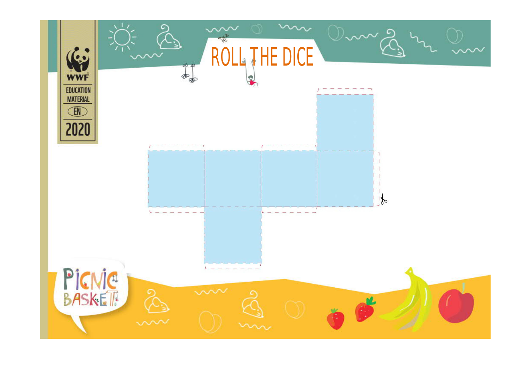